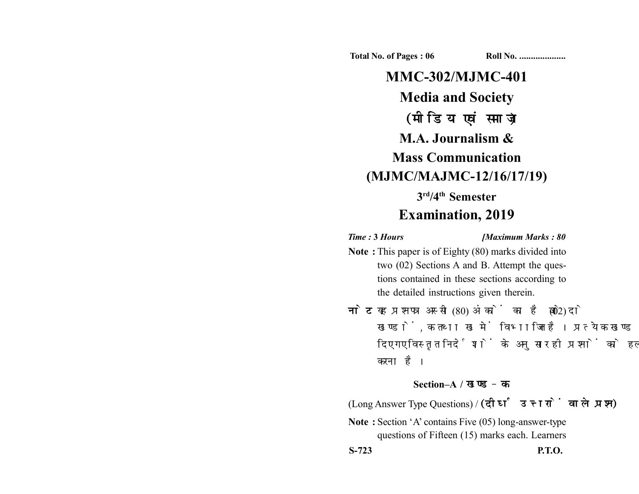**Total No. of Pages : 06 Roll No. ...................** 

# **MMC-302/MJMC-401 Media and Society** (मीडिया एवं समाज) **M.A. Journalism & Mass Communication (MJMC/MAJMC-12/16/17/19) 3rd/4th Semester**

# **Examination, 2019**

*Time :* **3** *Hours [Maximum Marks : 80*

- **Note :** This paper is of Eighty (80) marks divided into two (02) Sections A and B. Attempt the questions contained in these sections according to the detailed instructions given therein.
- नोट: यह प्रश्नपत्र अस्सी (80) अंकों का है जो दो (02) खण्डों, क तथा ख में विभाजित है। प्रत्येक खण्ड में दिए गए विस्तृत निर्देशों के अनुसार ही प्रश्नों को हल करना है।

#### **Section–A /**

(Long Answer Type Questions) /

**Note :** Section 'A' contains Five (05) long-answer-type questions of Fifteen (15) marks each. Learners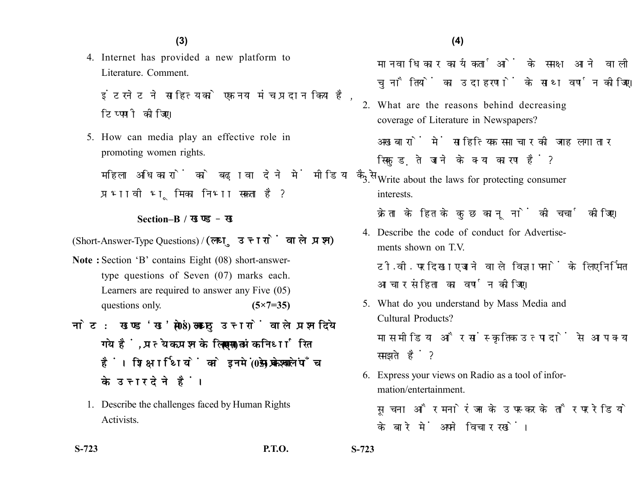4. Internet has provided a new platform to Literature. Comment.

इंटरनेट ने साहित्य को एक नया मंच प्रदान किया है. टिप्पणी कीजिए।

5. How can media play an effective role in promoting women rights.

महिला अधिकारों को बढावा देने में मीडिया कैसे प्रभावी भमिका निभा सकता है?

## **Section–B /**

(Short-Answer-Type Questions) / (लघु उत्तरों वाले प्रश्न)

- **Note :** Section 'B' contains Eight (08) short-answertype questions of Seven (07) marks each. Learners are required to answer any Five (05) questions only. **(5×7=35)**
- नोट: खण्ड 'ख' में आठ (08) लघु उत्तरों वाले प्रश्न दिये गये हैं, प्रत्येक प्रश्न के लिए सात (07) अंक निर्धारित हैं। शिक्षार्थियों को इनमें से केवल पाँच (05) प्रश्नों के उत्तर देने हैं।
	- 1. Describe the challenges faced by Human Rights Activists.
- **S-723 P.T.O. S-723**

मानवाधिकार कार्यकर्ताओं के समक्ष आने वाली चनौतियों का उदाहरणों के साथ वर्णन कीजिए।

- 2. What are the reasons behind decreasing coverage of Literature in Newspapers? अखबारों में साहित्यिक समाचार की जगह लगातार सिकड़ते जाने के क्या कारण हैं?
- 3. Write about the laws for protecting consumer interests.

क्रेता के हित के कुछ काननों की चर्चा कीजिए।

- 4. Describe the code of conduct for Advertisements shown on T.V. टी.वी. पर दिखाए जाने वाले विज्ञापनों के लिए निर्मित आचार संहिता का वर्णन कोजिए।
- 5. What do you understand by Mass Media and Cultural Products?

मास मीडिया और सांस्क्रतिक उत्पादों से आप क्या समझते हैं?

6. Express your views on Radio as a tool of information/entertainment.

सूचना और मनोरंजन के उपस्कर के तौर पर रेडियो के बारे में अपने विचार रखें।